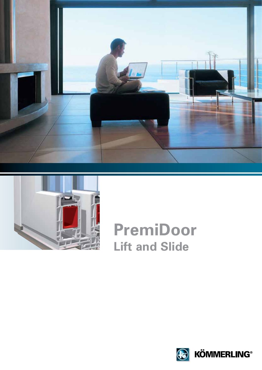



## **PremiDoor Lift and Slide**